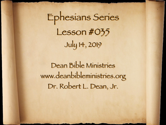Ephesians Series Lesson #035 July 14, 2019

Dean Bible Ministries [www.deanbibleministries.org](http://www.deanbibleministries.org)  [Dr. Robert L. Dean, Jr.](http://www.deanbibleministries.org)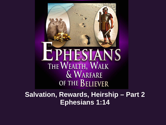PHESIANS THE WEALTH, WALK & WARFARE OF THE BELIEVER

**Salvation, Rewards, Heirship – Part 2 Ephesians 1:14**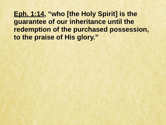**Eph. 1:14, "who [the Holy Spirit] is the guarantee of our inheritance until the redemption of the purchased possession, to the praise of His glory."**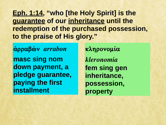**Eph. 1:14, "who [the Holy Spirit] is the guarantee of our inheritance until the redemption of the purchased possession, to the praise of His glory."**

**ἀρραβών** *arrabon* **masc sing nom down payment, a pledge guarantee, paying the first installment**

**κληρονομία**  *kleronomia* **fem sing gen inheritance, possession, property**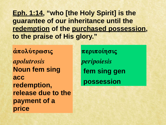**Eph. 1:14, "who [the Holy Spirit] is the guarantee of our inheritance until the redemption of the purchased possession, to the praise of His glory."**

**ἀπολύτρωσις**  *apolutrosis* **Noun fem sing acc redemption, release due to the payment of a price**

**περιποίησις**  *peripoiesis* **fem sing gen possession**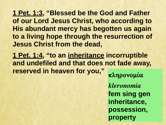**1 Pet. 1:3, "Blessed be the God and Father of our Lord Jesus Christ, who according to His abundant mercy has begotten us again to a living hope through the resurrection of Jesus Christ from the dead,**

**1 Pet. 1:4, "to an inheritance incorruptible and undefiled and that does not fade away, reserved in heaven for you," κληρονομία** 

> *kleronomia* **fem sing gen inheritance, possession, property**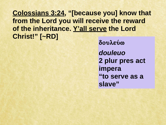## **Colossians 3:24, "[because you] know that from the Lord you will receive the reward of the inheritance. Y'all serve the Lord Christ!" [~RD]**

**δουλεύω**  *douleuo* **2 plur pres act impera "to serve as a slave"**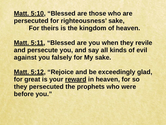**Matt. 5:10, "Blessed are those who are persecuted for righteousness' sake, For theirs is the kingdom of heaven.** 

**Matt. 5:11, "Blessed are you when they revile and persecute you, and say all kinds of evil against you falsely for My sake.**

**Matt. 5:12, "Rejoice and be exceedingly glad, for great is your reward in heaven, for so they persecuted the prophets who were before you."**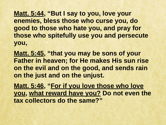**Matt. 5:44, "But I say to you, love your enemies, bless those who curse you, do good to those who hate you, and pray for those who spitefully use you and persecute you,** 

**Matt. 5:45, "that you may be sons of your Father in heaven; for He makes His sun rise on the evil and on the good, and sends rain on the just and on the unjust.** 

**Matt. 5:46, "For if you love those who love you, what reward have you? Do not even the tax collectors do the same?"**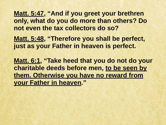**Matt. 5:47, "And if you greet your brethren only, what do you do more than others? Do not even the tax collectors do so?** 

**Matt. 5:48, "Therefore you shall be perfect, just as your Father in heaven is perfect.** 

**Matt. 6:1, "Take heed that you do not do your charitable deeds before men, to be seen by them. Otherwise you have no reward from your Father in heaven."**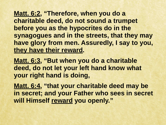**Matt. 6:2, "Therefore, when you do a charitable deed, do not sound a trumpet before you as the hypocrites do in the synagogues and in the streets, that they may have glory from men. Assuredly, I say to you, they have their reward.**

**Matt. 6:3, "But when you do a charitable deed, do not let your left hand know what your right hand is doing,** 

**Matt. 6:4, "that your charitable deed may be in secret; and your Father who sees in secret will Himself reward you openly."**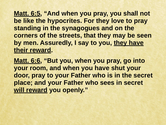**Matt. 6:5, "And when you pray, you shall not be like the hypocrites. For they love to pray standing in the synagogues and on the corners of the streets, that they may be seen by men. Assuredly, I say to you, they have their reward.**

**Matt. 6:6, "But you, when you pray, go into your room, and when you have shut your door, pray to your Father who is in the secret place; and your Father who sees in secret will reward you openly."**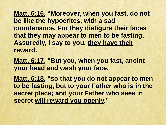**Matt. 6:16, "Moreover, when you fast, do not be like the hypocrites, with a sad countenance. For they disfigure their faces that they may appear to men to be fasting. Assuredly, I say to you, they have their reward.**

**Matt. 6:17, "But you, when you fast, anoint your head and wash your face,** 

**Matt. 6:18, "so that you do not appear to men to be fasting, but to your Father who is in the secret place; and your Father who sees in secret will reward you openly."**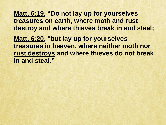**Matt. 6:19, "Do not lay up for yourselves treasures on earth, where moth and rust destroy and where thieves break in and steal; Matt. 6:20, "but lay up for yourselves treasures in heaven, where neither moth nor rust destroys and where thieves do not break in and steal."**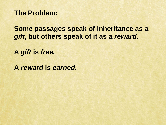**The Problem:** 

**Some passages speak of inheritance as a**  *gift***, but others speak of it as a** *reward***.** 

**A** *gift* **is** *free.* 

**A** *reward* **is** *earned.*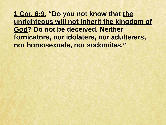**1 Cor. 6:9, "Do you not know that the unrighteous will not inherit the kingdom of God? Do not be deceived. Neither fornicators, nor idolaters, nor adulterers, nor homosexuals, nor sodomites,"**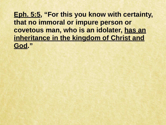**Eph. 5:5, "For this you know with certainty, that no immoral or impure person or covetous man, who is an idolater, has an inheritance in the kingdom of Christ and God."**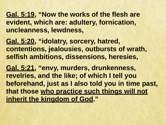**Gal. 5:19, "Now the works of the flesh are evident, which are: adultery, fornication, uncleanness, lewdness,** 

**Gal. 5:20, "idolatry, sorcery, hatred, contentions, jealousies, outbursts of wrath, selfish ambitions, dissensions, heresies,** 

**Gal. 5:21, "envy, murders, drunkenness, revelries, and the like; of which I tell you beforehand, just as I also told you in time past, that those who practice such things will not inherit the kingdom of God."**